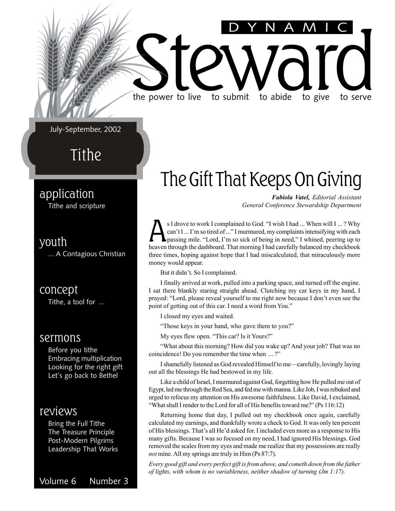# the power to live to submit to abide to give to serve

the power to live to submit to abide to give to serve

July-September, 2002

Tithe

### application

Tithe and scripture

### youth

... A Contagious Christian

#### concept

Tithe, a tool for ...

#### sermons

Before you tithe Embracing multiplication Looking for the right gift Let's go back to Bethel

### reviews

Bring the Full Tithe The Treasure Principle Post-Modern Pilgrims Leadership That Works

Volume 6 Number 3

### The Gift That Keeps On Giving

*Fabiola Vatel, Editorial Assistant General Conference Stewardship Department*

DYNAMIC

S I drove to work I complained to God. "I wish I had ... When will I ... ? Why can't I ... I'm so tired of ..." I murmured, my complaints intensifying with each passing mile. "Lord, I'm so sick of being in need," I whined can't I ... I'm so tired of ..." I murmured, my complaints intensifying with each passing mile. "Lord, I'm so sick of being in need," I whined, peering up to heaven through the dashboard. That morning I had carefully balanced my checkbook three times, hoping against hope that I had miscalculated, that miraculously more money would appear.

But it didn't. So I complained.

I finally arrived at work, pulled into a parking space, and turned off the engine. I sat there blankly staring straight ahead. Clutching my car keys in my hand, I prayed: "Lord, please reveal yourself to me right now because I don't even see the point of getting out of this car. I need a word from You."

I closed my eyes and waited.

"Those keys in your hand, who gave them to you?"

My eyes flew open. "This car? Is it Yours?"

"What about this morning? How did you wake up? And your job? That was no coincidence! Do you remember the time when ... ?"

I shamefully listened as God revealed Himself to me—carefully, lovingly laying out all the blessings He had bestowed in my life.

Like a child of Israel, I murmured against God, forgetting how He pulled me out of Egypt, led me through the Red Sea, and fed me with manna. Like Job, I was rebuked and urged to refocus my attention on His awesome faithfulness. Like David, I exclaimed, "What shall I render to the Lord for all of His benefits toward me?" (Ps 116:12)

Returning home that day, I pulled out my checkbook once again, carefully calculated my earnings, and thankfully wrote a check to God. It was only ten percent of His blessings. That's all He'd asked for. I included even more as a response to His many gifts. Because I was so focused on my need, I had ignored His blessings. God removed the scales from my eyes and made me realize that my possessions are really *not* mine. All my springs are truly in Him (Ps 87:7).

*Every good gift and every perfect gift is from above, and cometh down from the father of lights, with whom is no variableness, neither shadow of turning (Jm 1:17).*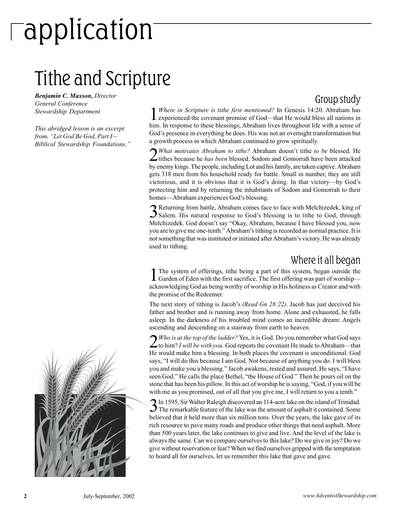# application

### Tithe and Scripture

*Benjamin C. Maxson, Director General Conference Stewardship Department*

*This abridged lesson is an excerpt from, "Let God Be God, Part I— Biblical Stewardship Foundations."*



1*Where in Scripture is tithe first mentioned?* In Genesis 14:20. Abraham has experienced the covenant promise of God—that He would bless all nations in him. In response to these blessings, Abraham lives throughout life with a sense of God's presence in everything he does. His was not an overnight transformation but a growth process in which Abraham continued to grow spiritually.

2*What motivates Abraham to tithe?* Abraham doesn't tithe *to be* blessed. He tithes because he *has been* blessed. Sodom and Gomorrah have been attacked by enemy kings. The people, including Lot and his family, are taken captive. Abraham gets 318 men from his household ready for battle. Small in number, they are still victorious, and it is obvious that it is God's doing. In that victory—by God's protecting him and by returning the inhabitants of Sodom and Gomorrah to their homes—Abraham experiences God's blessing.

3Returning from battle, Abraham comes face to face with Melchizedek, king of Salem. His natural response to God's blessing is to tithe to God, through Melchizedek. God doesn't say "Okay, Abraham, because I have blessed you, now you are to give me one-tenth." Abraham's tithing is recorded as normal practice. It is not something that was instituted or initiated after Abraham's victory. He was already used to tithing.

### Where it all began

1The system of offerings, tithe being a part of this system, began outside the Garden of Eden with the first sacrifice. The first offering was part of worship acknowledging God as being worthy of worship in His holiness as Creator and with the promise of the Redeemer.

The next story of tithing is Jacob's *(Read Gn 28:22)*. Jacob has just deceived his father and brother and is running away from home. Alone and exhausted, he falls asleep. In the darkness of his troubled mind comes an incredible dream: Angels ascending and descending on a stairway from earth to heaven.

2*Who is at the top of the ladder?* Yes, it is God. Do you remember what God says to him? *I will be with you.* God repeats the covenant He made to Abraham—that He would make him a blessing. In both places the covenant is unconditional. God says, "I will do this because I am God. Not because of anything you do. I will bless you and make you a blessing." Jacob awakens, rested and assured. He says, "I have seen God." He calls the place Bethel, "the House of God." Then he pours oil on the stone that has been his pillow. In this act of worship he is saying, "God, if you will be with me as you promised, out of all that you give me, I will return to you a tenth."

3In 1595, Sir Walter Raleigh discovered an 114-acre lake on the island of Trinidad. The remarkable feature of the lake was the amount of asphalt it contained. Some believed that it held more than six million tons. Over the years, the lake gave of its rich resource to pave many roads and produce other things that need asphalt. More than 500 years later, the lake continues to give and live. And the level of the lake is always the same. Can we compare ourselves to this lake? Do we give in joy? Do we give without reservation or fear? When we find ourselves gripped with the temptation to hoard all for ourselves, let us remember this lake that gave and gave.

### Group study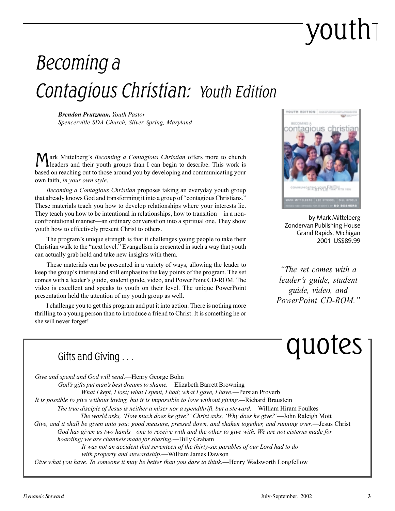# youth

### Becoming a Contagious Christian: Youth Edition

*Brendon Prutzman, Youth Pastor Spencerville SDA Church, Silver Spring, Maryland*

Mark Mittelberg's *Becoming a Contagious Christian* offers more to church leaders and their youth groups than I can begin to describe. This work is based on reaching out to those around you by developing and communicating your own faith, *in your own style*.

*Becoming a Contagious Christian* proposes taking an everyday youth group that already knows God and transforming it into a group of "contagious Christians." These materials teach you how to develop relationships where your interests lie. They teach you how to be intentional in relationships, how to transition—in a nonconfrontational manner—an ordinary conversation into a spiritual one. They show youth how to effectively present Christ to others.

The program's unique strength is that it challenges young people to take their Christian walk to the "next level." Evangelism is presented in such a way that youth can actually grab hold and take new insights with them.

These materials can be presented in a variety of ways, allowing the leader to keep the group's interest and still emphasize the key points of the program. The set comes with a leader's guide, student guide, video, and PowerPoint CD-ROM. The video is excellent and speaks to youth on their level. The unique PowerPoint presentation held the attention of my youth group as well.

I challenge you to get this program and put it into action. There is nothing more thrilling to a young person than to introduce a friend to Christ. It is something he or she will never forget!



by Mark Mittelberg Zondervan Publishing House Grand Rapids, Michigan 2001 US\$89.99

*"The set comes with a leader's guide, student guide, video, and PowerPoint CD-ROM."*

# $\overline{\text{Giffs and Giving}\,}$  . . .  $\overline{\text{QUotes}}$

*It was not an accident that seventeen of the thirty-six parables of our Lord had to do with property and stewardship*.—William James Dawson *Give what you have. To someone it may be better than you dare to think.*—Henry Wadsworth Longfellow *The true disciple of Jesus is neither a miser nor a spendthrift, but a steward.*—William Hiram Foulkes *The world asks, 'How much does he give?' Christ asks, 'Why does he give?'*—John Raleigh Mott *Give, and it shall be given unto you; good measure, pressed down, and shaken together, and running over*.—Jesus Christ *God has given us two hands—one to receive with and the other to give with. We are not cisterns made for hoarding; we are channels made for sharing*.—Billy Graham *Give and spend and God will send*.—Henry George Bohn *God's gifts put man's best dreams to shame.*—Elizabeth Barrett Browning *What I kept, I lost; what I spent, I had; what I gave, I have.*—Persian Proverb *It is possible to give without loving, but it is impossible to love without giving.—*Richard Braustein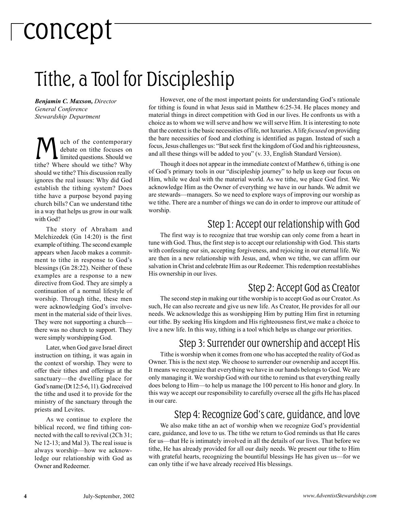# concept

### Tithe, a Tool for Discipleship

*Benjamin C. Maxson, Director General Conference Stewardship Department*

uch of the contemporary debate on tithe focuses on limited questions. Should we tithe? Where should we tithe? Why should we tithe? This discussion really ignores the real issues: Why did God establish the tithing system? Does tithe have a purpose beyond paying church bills? Can we understand tithe in a way that helps us grow in our walk with God?

The story of Abraham and Melchizedek (Gn 14:20) is the first example of tithing. The second example appears when Jacob makes a commitment to tithe in response to God's blessings (Gn 28:22). Neither of these examples are a response to a new directive from God. They are simply a continuation of a normal lifestyle of worship. Through tithe, these men were acknowledging God's involvement in the material side of their lives. They were not supporting a church there was no church to support. They were simply worshipping God.

Later, when God gave Israel direct instruction on tithing, it was again in the context of worship. They were to offer their tithes and offerings at the sanctuary—the dwelling place for God's name (Dt 12:5-6, 11). God received the tithe and used it to provide for the ministry of the sanctuary through the priests and Levites.

As we continue to explore the biblical record, we find tithing connected with the call to revival (2Ch 31; Ne 12-13; and Mal 3). The real issue is always worship—how we acknowledge our relationship with God as Owner and Redeemer.

However, one of the most important points for understanding God's rationale for tithing is found in what Jesus said in Matthew 6:25-34. He places money and material things in direct competition with God in our lives. He confronts us with a choice as to whom we will serve and how we will serve Him. It is interesting to note that the context is the basic necessities of life, not luxuries. A life *focused* on providing the bare necessities of food and clothing is identified as pagan. Instead of such a focus, Jesus challenges us: "But seek first the kingdom of God and his righteousness, and all these things will be added to you" (v. 33, English Standard Version).

Though it does not appear in the immediate context of Matthew 6, tithing is one of God's primary tools in our "discipleship journey" to help us keep our focus on Him, while we deal with the material world. As we tithe, we place God first. We acknowledge Him as the Owner of everything we have in our hands. We admit we are stewards—managers. So we need to explore ways of improving our worship as we tithe. There are a number of things we can do in order to improve our attitude of worship.

### Step 1: Accept our relationship with God

The first way is to recognize that true worship can only come from a heart in tune with God. Thus, the first step is to accept our relationship with God. This starts with confessing our sin, accepting forgiveness, and rejoicing in our eternal life. We are then in a new relationship with Jesus, and, when we tithe, we can affirm our salvation in Christ and celebrate Him as our Redeemer. This redemption reestablishes His ownership in our lives.

### Step 2: Accept God as Creator

The second step in making our tithe worship is to accept God as our Creator. As such, He can also recreate and give us new life. As Creator, He provides for all our needs. We acknowledge this as worshipping Him by putting Him first in returning our tithe. By seeking His kingdom and His righteousness first,we make a choice to live a new life. In this way, tithing is a tool which helps us change our priorities.

#### Step 3: Surrender our ownership and accept His

Tithe is worship when it comes from one who has accepted the reality of God as Owner. This is the next step. We choose to surrender our ownership and accept His. It means we recognize that everything we have in our hands belongs to God. We are only managing it. We worship God with our tithe to remind us that everything really does belong to Him—to help us manage the 100 percent to His honor and glory. In this way we accept our responsibility to carefully oversee all the gifts He has placed in our care.

#### Step 4: Recognize God's care, guidance, and love

We also make tithe an act of worship when we recognize God's providential care, guidance, and love to us. The tithe we return to God reminds us that He cares for us—that He is intimately involved in all the details of our lives. That before we tithe, He has already provided for all our daily needs. We present our tithe to Him with grateful hearts, recognizing the bountiful blessings He has given us—for we can only tithe if we have already received His blessings.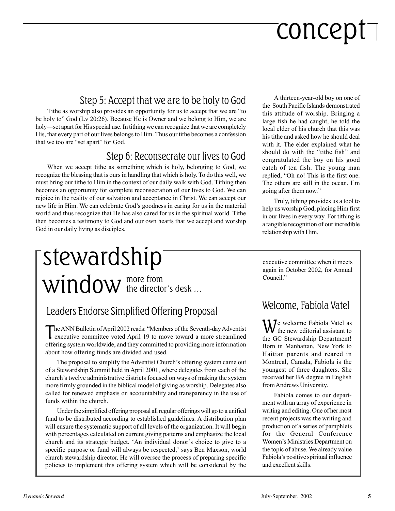# concept

### Step 5: Accept that we are to be holy to God

Tithe as worship also provides an opportunity for us to accept that we are "to be holy to" God (Lv 20:26). Because He is Owner and we belong to Him, we are holy—set apart for His special use. In tithing we can recognize that we are completely His, that every part of our lives belongs to Him. Thus our tithe becomes a confession that we too are "set apart" for God.

### Step 6: Reconsecrate our lives to God

When we accept tithe as something which is holy, belonging to God, we recognize the blessing that is ours in handling that which is holy. To do this well, we must bring our tithe to Him in the context of our daily walk with God. Tithing then becomes an opportunity for complete reconsecration of our lives to God. We can rejoice in the reality of our salvation and acceptance in Christ. We can accept our new life in Him. We can celebrate God's goodness in caring for us in the material world and thus recognize that He has also cared for us in the spiritual world. Tithe then becomes a testimony to God and our own hearts that we accept and worship God in our daily living as disciples.

### more from  $window$  the director's desk  $...$ stewardship

### Leaders Endorse Simplified Offering Proposal

The ANN Bulletin of April 2002 reads: "Members of the Seventh-day Adventist<br>executive committee voted April 19 to move toward a more streamlined offering system worldwide, and they committed to providing more information about how offering funds are divided and used.

The proposal to simplify the Adventist Church's offering system came out of a Stewardship Summit held in April 2001, where delegates from each of the church's twelve administrative districts focused on ways of making the system more firmly grounded in the biblical model of giving as worship. Delegates also called for renewed emphasis on accountability and transparency in the use of funds within the church.

Under the simplified offering proposal all regular offerings will go to a unified fund to be distributed according to established guidelines. A distribution plan will ensure the systematic support of all levels of the organization. It will begin with percentages calculated on current giving patterns and emphasize the local church and its strategic budget. 'An individual donor's choice to give to a specific purpose or fund will always be respected,' says Ben Maxson, world church stewardship director. He will oversee the process of preparing specific policies to implement this offering system which will be considered by the

A thirteen-year-old boy on one of the South Pacific Islands demonstrated this attitude of worship. Bringing a large fish he had caught, he told the local elder of his church that this was his tithe and asked how he should deal with it. The elder explained what he should do with the "tithe fish" and congratulated the boy on his good catch of ten fish. The young man replied, "Oh no! This is the first one. The others are still in the ocean. I'm going after them now."

Truly, tithing provides us a tool to help us worship God, placing Him first in our lives in every way. For tithing is a tangible recognition of our incredible relationship with Him.

executive committee when it meets again in October 2002, for Annual Council."

### Welcome, Fabiola Vatel

We welcome Fabiola Vatel as<br>the new editorial assistant to the GC Stewardship Department! Born in Manhattan, New York to Haitian parents and reared in Montreal, Canada, Fabiola is the youngest of three daughters. She received her BA degree in English from Andrews University.

Fabiola comes to our department with an array of experience in writing and editing. One of her most recent projects was the writing and production of a series of pamphlets for the General Conference Women's Ministries Department on the topic of abuse. We already value Fabiola's positive spiritual influence and excellent skills.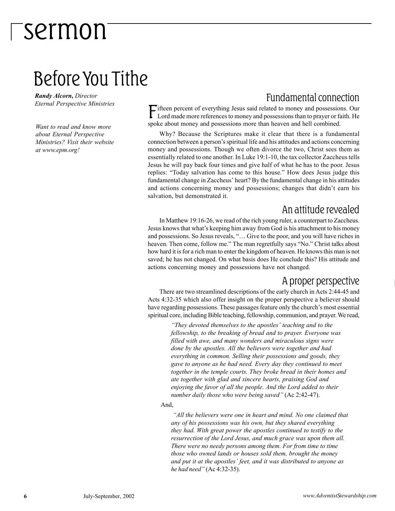### Before You Tithe

*Randy Alcorn, Director Eternal Perspective Ministries*

*Want to read and know more about Eternal Perspective Ministries? Visit their website at www.epm.org!*

### Fundamental connection

Fifteen percent of everything Jesus said related to money and possessions. Our Lord made more references to money and possessions than to prayer or faith. He spoke about money and possessions more than heaven and hell combined.

Why? Because the Scriptures make it clear that there is a fundamental connection between a person's spiritual life and his attitudes and actions concerning money and possessions. Though we often divorce the two, Christ sees them as essentially related to one another. In Luke 19:1-10, the tax collector Zaccheus tells Jesus he will pay back four times and give half of what he has to the poor. Jesus replies: "Today salvation has come to this house." How does Jesus judge this fundamental change in Zaccheus' heart? By the fundamental change in his attitudes and actions concerning money and possessions; changes that didn't earn his salvation, but demonstrated it.

#### An attitude revealed

In Matthew 19:16-26, we read of the rich young ruler, a counterpart to Zaccheus. Jesus knows that what's keeping him away from God is his attachment to his money and possessions. So Jesus reveals, "… Give to the poor, and you will have riches in heaven. Then come, follow me." The man regretfully says "No." Christ talks about how hard it is for a rich man to enter the kingdom of heaven. He knows this man is not saved; he has not changed. On what basis does He conclude this? His attitude and actions concerning money and possessions have not changed.

#### A proper perspective

There are two streamlined descriptions of the early church in Acts 2:44-45 and Acts 4:32-35 which also offer insight on the proper perspective a believer should have regarding possessions. These passages feature only the church's most essential spiritual core, including Bible teaching, fellowship, communion, and prayer. We read,

> *"They devoted themselves to the apostles' teaching and to the fellowship, to the breaking of bread and to prayer. Everyone was filled with awe, and many wonders and miraculous signs were done by the apostles. All the believers were together and had everything in common. Selling their possessions and goods, they gave to anyone as he had need. Every day they continued to meet together in the temple courts. They broke bread in their homes and ate together with glad and sincere hearts, praising God and enjoying the favor of all the people. And the Lord added to their number daily those who were being saved"* (Ac 2:42-47).

#### And,

 *"All the believers were one in heart and mind. No one claimed that any of his possessions was his own, but they shared everything they had. With great power the apostles continued to testify to the resurrection of the Lord Jesus, and much grace was upon them all. There were no needy persons among them. For from time to time those who owned lands or houses sold them, brought the money and put it at the apostles' feet, and it was distributed to anyone as he had need"* (Ac 4:32-35).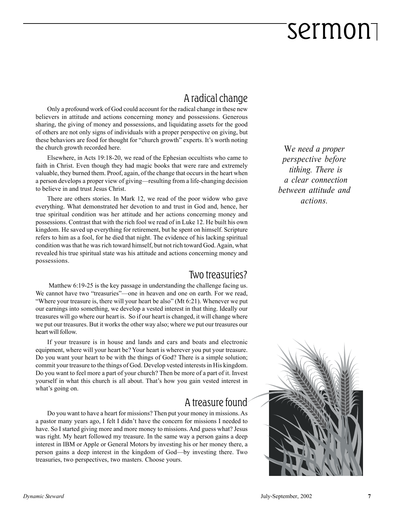### A radical change

Only a profound work of God could account for the radical change in these new believers in attitude and actions concerning money and possessions. Generous sharing, the giving of money and possessions, and liquidating assets for the good of others are not only signs of individuals with a proper perspective on giving, but these behaviors are food for thought for "church growth" experts. It's worth noting the church growth recorded here.

Elsewhere, in Acts 19:18-20, we read of the Ephesian occultists who came to faith in Christ. Even though they had magic books that were rare and extremely valuable, they burned them. Proof, again, of the change that occurs in the heart when a person develops a proper view of giving—resulting from a life-changing decision to believe in and trust Jesus Christ.

There are others stories. In Mark 12, we read of the poor widow who gave everything. What demonstrated her devotion to and trust in God and, hence, her true spiritual condition was her attitude and her actions concerning money and possessions. Contrast that with the rich fool we read of in Luke 12. He built his own kingdom. He saved up everything for retirement, but he spent on himself. Scripture refers to him as a fool, for he died that night. The evidence of his lacking spiritual condition was that he was rich toward himself, but not rich toward God. Again, what revealed his true spiritual state was his attitude and actions concerning money and possessions.

#### Two treasuries?

 Matthew 6:19-25 is the key passage in understanding the challenge facing us. We cannot have two "treasuries"—one in heaven and one on earth. For we read, "Where your treasure is, there will your heart be also" (Mt 6:21). Whenever we put our earnings into something, we develop a vested interest in that thing. Ideally our treasures will go where our heart is. So if our heart is changed, it will change where we put our treasures. But it works the other way also; where we put our treasures our heart will follow.

If your treasure is in house and lands and cars and boats and electronic equipment, where will your heart be? Your heart is wherever you put your treasure. Do you want your heart to be with the things of God? There is a simple solution; commit your treasure to the things of God. Develop vested interests in His kingdom. Do you want to feel more a part of your church? Then be more of a part of it. Invest yourself in what this church is all about. That's how you gain vested interest in what's going on.

#### A treasure found

Do you want to have a heart for missions? Then put your money in missions. As a pastor many years ago, I felt I didn't have the concern for missions I needed to have. So I started giving more and more money to missions. And guess what? Jesus was right. My heart followed my treasure. In the same way a person gains a deep interest in IBM or Apple or General Motors by investing his or her money there, a person gains a deep interest in the kingdom of God—by investing there. Two treasuries, two perspectives, two masters. Choose yours.

W*e need a proper perspective before tithing. There is a clear connection between attitude and actions.*

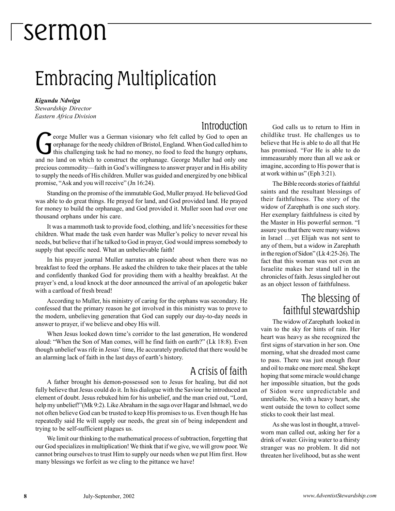### Embracing Multiplication

*Kigundu Ndwiga*

*Stewardship Director Eastern Africa Division*

#### Introduction

eorge Muller was a German visionary who felt called by God to open an orphanage for the needy children of Bristol, England. When God called him to this challenging task he had no money, no food to feed the hungry orphans, and no land on which to construct the orphanage. George Muller had only one precious commodity—faith in God's willingness to answer prayer and in His ability to supply the needs of His children. Muller was guided and energized by one biblical promise, "Ask and you will receive" (Jn 16:24).

Standing on the promise of the immutable God, Muller prayed. He believed God was able to do great things. He prayed for land, and God provided land. He prayed for money to build the orphanage, and God provided it. Muller soon had over one thousand orphans under his care.

It was a mammoth task to provide food, clothing, and life's necessities for these children. What made the task even harder was Muller's policy to never reveal his needs, but believe that if he talked to God in prayer, God would impress somebody to supply that specific need. What an unbelievable faith!

In his prayer journal Muller narrates an episode about when there was no breakfast to feed the orphans. He asked the children to take their places at the table and confidently thanked God for providing them with a healthy breakfast. At the prayer's end, a loud knock at the door announced the arrival of an apologetic baker with a cartload of fresh bread!

According to Muller, his ministry of caring for the orphans was secondary. He confessed that the primary reason he got involved in this ministry was to prove to the modern, unbelieving generation that God can supply our day-to-day needs in answer to prayer, if we believe and obey His will.

When Jesus looked down time's corridor to the last generation, He wondered aloud: "When the Son of Man comes, will he find faith on earth?" (Lk 18:8). Even though unbelief was rife in Jesus' time, He accurately predicted that there would be an alarming lack of faith in the last days of earth's history.

### A crisis of faith

A father brought his demon-possessed son to Jesus for healing, but did not fully believe that Jesus could do it. In his dialogue with the Saviour he introduced an element of doubt. Jesus rebuked him for his unbelief, and the man cried out, "Lord, help my unbelief!"(Mk 9:2). Like Abraham in the saga over Hagar and Ishmael, we do not often believe God can be trusted to keep His promises to us. Even though He has repeatedly said He will supply our needs, the great sin of being independent and trying to be self-sufficient plagues us.

We limit our thinking to the mathematical process of subtraction, forgetting that our God specializes in multiplication! We think that if we give, we will grow poor. We cannot bring ourselves to trust Him to supply our needs when we put Him first. How many blessings we forfeit as we cling to the pittance we have!

God calls us to return to Him in childlike trust. He challenges us to believe that He is able to do all that He has promised. "For He is able to do immeasurably more than all we ask or imagine, according to His power that is at work within us" (Eph 3:21).

The Bible records stories of faithful saints and the resultant blessings of their faithfulness. The story of the widow of Zarephath is one such story. Her exemplary faithfulness is cited by the Master in His powerful sermon. "I assure you that there were many widows in Israel …yet Elijah was not sent to any of them, but a widow in Zarephath in the region of Sidon" (Lk 4:25-26). The fact that this woman was not even an Israelite makes her stand tall in the chronicles of faith. Jesus singled her out as an object lesson of faithfulness.

### The blessing of faithful stewardship

The widow of Zarephath looked in vain to the sky for hints of rain. Her heart was heavy as she recognized the first signs of starvation in her son. One morning, what she dreaded most came to pass. There was just enough flour and oil to make one more meal. She kept hoping that some miracle would change her impossible situation, but the gods of Sidon were unpredictable and unreliable. So, with a heavy heart, she went outside the town to collect some sticks to cook their last meal.

As she was lost in thought, a travelworn man called out, asking her for a drink of water. Giving water to a thirsty stranger was no problem. It did not threaten her livelihood, but as she went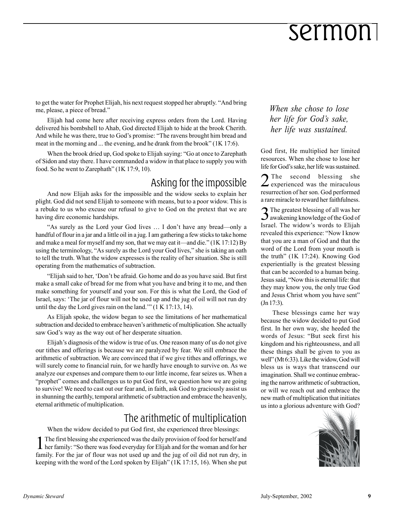to get the water for Prophet Elijah, his next request stopped her abruptly. "And bring me, please, a piece of bread."

Elijah had come here after receiving express orders from the Lord. Having delivered his bombshell to Ahab, God directed Elijah to hide at the brook Cherith. And while he was there, true to God's promise: "The ravens brought him bread and meat in the morning and ... the evening, and he drank from the brook" (1K 17:6).

When the brook dried up, God spoke to Elijah saying: "Go at once to Zarephath of Sidon and stay there. I have commanded a widow in that place to supply you with food. So he went to Zarephath" (1K 17:9, 10).

### Asking for the impossible

And now Elijah asks for the impossible and the widow seeks to explain her plight. God did not send Elijah to someone with means, but to a poor widow. This is a rebuke to us who excuse our refusal to give to God on the pretext that we are having dire economic hardships.

"As surely as the Lord your God lives … I don't have any bread—only a handful of flour in a jar and a little oil in a jug. I am gathering a few sticks to take home and make a meal for myself and my son, that we may eat it—and die."  $(1K 17:12)$  By using the terminology, "As surely as the Lord your God lives," she is taking an oath to tell the truth. What the widow expresses is the reality of her situation. She is still operating from the mathematics of subtraction.

"Elijah said to her, 'Don't be afraid. Go home and do as you have said. But first make a small cake of bread for me from what you have and bring it to me, and then make something for yourself and your son. For this is what the Lord, the God of Israel, says: 'The jar of flour will not be used up and the jug of oil will not run dry until the day the Lord gives rain on the land.'" (1 K 17:13, 14).

As Elijah spoke, the widow began to see the limitations of her mathematical subtraction and decided to embrace heaven's arithmetic of multiplication. She actually saw God's way as the way out of her desperate situation.

Elijah's diagnosis of the widow is true of us. One reason many of us do not give our tithes and offerings is because we are paralyzed by fear. We still embrace the arithmetic of subtraction. We are convinced that if we give tithes and offerings, we will surely come to financial ruin, for we hardly have enough to survive on. As we analyze our expenses and compare them to our little income, fear seizes us. When a "prophet" comes and challenges us to put God first, we question how we are going to survive! We need to cast out our fear and, in faith, ask God to graciously assist us in shunning the earthly, temporal arithmetic of subtraction and embrace the heavenly, eternal arithmetic of multiplication.

#### The arithmetic of multiplication

When the widow decided to put God first, she experienced three blessings:

1The first blessing she experienced was the daily provision of food for herself and her family: "So there was food everyday for Elijah and for the woman and for her family. For the jar of flour was not used up and the jug of oil did not run dry, in keeping with the word of the Lord spoken by Elijah" (1K 17:15, 16). When she put *When she chose to lose her life for God's sake, her life was sustained.*

God first, He multiplied her limited resources. When she chose to lose her life for God's sake, her life was sustained.

2 The second blessing she experienced was the miraculous resurrection of her son. God performed a rare miracle to reward her faithfulness.

3The greatest blessing of all was her awakening knowledge of the God of Israel. The widow's words to Elijah revealed this experience: "Now I know that you are a man of God and that the word of the Lord from your mouth is the truth" (1K 17:24). Knowing God experientially is the greatest blessing that can be accorded to a human being. Jesus said, "Now this is eternal life: that they may know you, the only true God and Jesus Christ whom you have sent" (Jn 17:3).

These blessings came her way because the widow decided to put God first. In her own way, she heeded the words of Jesus: "But seek first his kingdom and his righteousness, and all these things shall be given to you as well" (Mt 6:33). Like the widow, God will bless us is ways that transcend our imagination. Shall we continue embracing the narrow arithmetic of subtraction, or will we reach out and embrace the new math of multiplication that initiates us into a glorious adventure with God?

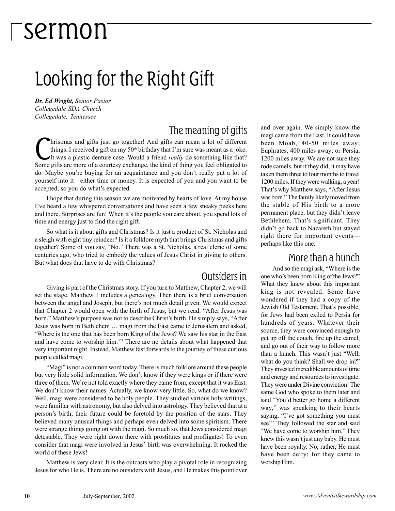### Looking for the Right Gift

*Dr. Ed Wright, Senior Pastor Collegedale SDA Church Collegedale, Tennessee*

### The meaning of gifts

hristmas and gifts just go together! And gifts can mean a lot of different things. I received a gift on my 50*th* birthday that I'm sure was meant as a joke. It was a plastic denture case. Would a friend *really* do something like that? Some gifts are more of a courtesy exchange, the kind of thing you feel obligated to do. Maybe you're buying for an acquaintance and you don't really put a lot of yourself into it—either time or money. It is expected of you and you want to be accepted, so you do what's expected.

I hope that during this season we are motivated by hearts of love. At my house I've heard a few whispered conversations and have seen a few sneaky peeks here and there. Surprises are fun! When it's the people you care about, you spend lots of time and energy just to find the right gift*.*

So what is it about gifts and Christmas? Is it just a product of St. Nicholas and a sleigh with eight tiny reindeer? Is it a folklore myth that brings Christmas and gifts together? Some of you say, "No." There was a St. Nicholas, a real cleric of some centuries ago, who tried to embody the values of Jesus Christ in giving to others. But what does that have to do with Christmas?

#### Outsiders in

Giving is part of the Christmas story. If you turn to Matthew, Chapter 2, we will set the stage. Matthew 1 includes a genealogy. Then there is a brief conversation between the angel and Joseph, but there's not much detail given. We would expect that Chapter 2 would open with the birth of Jesus, but we read: "After Jesus was born." Matthew's purpose was not to describe Christ's birth. He simply says, "After Jesus was born in Bethlehem … magi from the East came to Jerusalem and asked, 'Where is the one that has been born King of the Jews? We saw his star in the East and have come to worship him.'" There are no details about what happened that very important night. Instead, Matthew fast forwards to the journey of these curious people called magi.

"Magi" is not a common word today. There is much folklore around these people but very little solid information. We don't know if they were kings or if there were three of them. We're not told exactly where they came from, except that it was East. We don't know their names. Actually, we know very little. So, what do we know? Well, magi were considered to be holy people. They studied various holy writings, were familiar with astronomy, but also delved into astrology. They believed that at a person's birth, their future could be foretold by the position of the stars. They believed many unusual things and perhaps even delved into some spiritism. There were strange things going on with the magi. So much so, that Jews considered magi detestable. They were right down there with prostitutes and profligates! To even consider that magi were involved in Jesus' birth was overwhelming. It rocked the world of these Jews!

Matthew is very clear. It is the outcasts who play a pivotal role in recognizing Jesus for who He is. There are no outsiders with Jesus, and He makes this point over

and over again. We simply know the magi came from the East. It could have been Moab, 40-50 miles away; Euphrates, 400 miles away; or Persia, 1200 miles away. We are not sure they rode camels, but if they did, it may have taken them three to four months to travel 1200 miles. If they were walking, a year! That's why Matthew says, "After Jesus was born." The family likely moved from the stable of His birth to a more permanent place, but they didn't leave Bethlehem. That's significant. They didn't go back to Nazareth but stayed right there for important events perhaps like this one.

#### More than a hunch

And so the magi ask, "Where is the one who's been born King of the Jews?" What they knew about this important king is not revealed. Some have wondered if they had a copy of the Jewish Old Testament. That's possible, for Jews had been exiled to Persia for hundreds of years. Whatever their source, they were convinced enough to get up off the couch, fire up the camel, and go out of their way to follow more than a hunch. This wasn't just "Well, what do you think? Shall we drop in?" They invested incredible amounts of time and energy and resources to investigate. They were under Divine conviction! The same God who spoke to them later and said "You'd better go home a different way," was speaking to their hearts saying, "I've got something you must see!" They followed the star and said "We have come to worship him." They knew this wasn't just any baby. He must have been royalty. No, rather, He must have been deity; for they came to worship Him.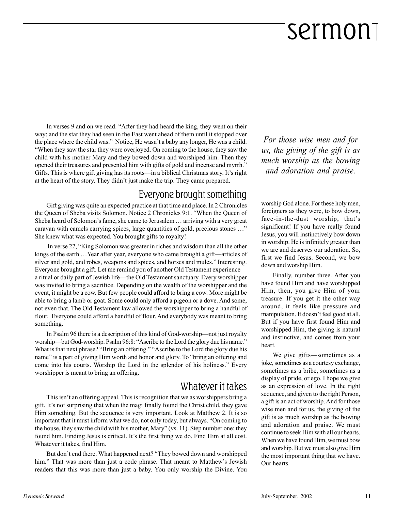In verses 9 and on we read. "After they had heard the king, they went on their way; and the star they had seen in the East went ahead of them until it stopped over the place where the child was." Notice, He wasn't a baby any longer, He was a child. "When they saw the star they were overjoyed. On coming to the house, they saw the child with his mother Mary and they bowed down and worshiped him. Then they opened their treasures and presented him with gifts of gold and incense and myrrh." Gifts. This is where gift giving has its roots—in a biblical Christmas story. It's right at the heart of the story. They didn't just make the trip. They came prepared.

### Everyone brought something

Gift giving was quite an expected practice at that time and place. In 2 Chronicles the Queen of Sheba visits Solomon. Notice 2 Chronicles 9:1. "When the Queen of Sheba heard of Solomon's fame, she came to Jerusalem … arriving with a very great caravan with camels carrying spices, large quantities of gold, precious stones …" She knew what was expected. You brought gifts to royalty!

 In verse 22, "King Solomon was greater in riches and wisdom than all the other kings of the earth …Year after year, everyone who came brought a gift—articles of silver and gold, and robes, weapons and spices, and horses and mules." Interesting. Everyone brought a gift. Let me remind you of another Old Testament experience a ritual or daily part of Jewish life—the Old Testament sanctuary. Every worshipper was invited to bring a sacrifice. Depending on the wealth of the worshipper and the event, it might be a cow. But few people could afford to bring a cow. More might be able to bring a lamb or goat. Some could only afford a pigeon or a dove. And some, not even that. The Old Testament law allowed the worshipper to bring a handful of flour. Everyone could afford a handful of flour. And everybody was meant to bring something.

In Psalm 96 there is a description of this kind of God-worship—not just royalty worship—but God-worship. Psalm 96:8: "Ascribe to the Lord the glory due his name." What is that next phrase? "Bring an offering." "Ascribe to the Lord the glory due his name" is a part of giving Him worth and honor and glory. To "bring an offering and come into his courts. Worship the Lord in the splendor of his holiness." Every worshipper is meant to bring an offering.

### Whatever it takes

This isn't an offering appeal. This is recognition that we as worshippers bring a gift. It's not surprising that when the magi finally found the Christ child, they gave Him something. But the sequence is very important. Look at Matthew 2. It is so important that it must inform what we do, not only today, but always. "On coming to the house, they saw the child with his mother, Mary" (vs. 11). Step number one: they found him. Finding Jesus is critical. It's the first thing we do. Find Him at all cost. Whatever it takes, find Him.

But don't end there. What happened next? "They bowed down and worshipped him." That was more than just a code phrase. That meant to Matthew's Jewish readers that this was more than just a baby. You only worship the Divine. You

*For those wise men and for us, the giving of the gift is as much worship as the bowing and adoration and praise.*

worship God alone. For these holy men, foreigners as they were, to bow down, face-in-the-dust worship, that's significant! If you have really found Jesus, you will instinctively bow down in worship. He is infinitely greater than we are and deserves our adoration. So, first we find Jesus. Second, we bow down and worship Him.

Finally, number three. After you have found Him and have worshipped Him, then, you give Him of your treasure. If you get it the other way around, it feels like pressure and manipulation. It doesn't feel good at all. But if you have first found Him and worshipped Him, the giving is natural and instinctive, and comes from your heart.

We give gifts—sometimes as a joke, sometimes as a courtesy exchange, sometimes as a bribe, sometimes as a display of pride, or ego. I hope we give as an expression of love. In the right sequence, and given to the right Person, a gift is an act of worship. And for those wise men and for us, the giving of the gift is as much worship as the bowing and adoration and praise. We must continue to seek Him with all our hearts. When we have found Him, we must bow and worship. But we must also give Him the most important thing that we have. Our hearts.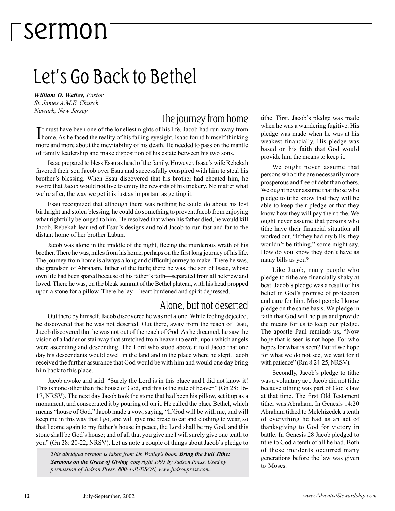### Let's Go Back to Bethel

*William D. Watley, Pastor St. James A.M.E. Church Newark, New Jersey*

### The journey from home

It must have been one of the loneliest nights of his life. Jacob had run away from<br>home. As he faced the reality of his failing eyesight, Isaac found himself thinking t must have been one of the loneliest nights of his life. Jacob had run away from more and more about the inevitability of his death. He needed to pass on the mantle of family leadership and make disposition of his estate between his two sons.

Isaac prepared to bless Esau as head of the family. However, Isaac's wife Rebekah favored their son Jacob over Esau and successfully conspired with him to steal his brother's blessing. When Esau discovered that his brother had cheated him, he swore that Jacob would not live to enjoy the rewards of his trickery. No matter what we're after, the way we get it is just as important as getting it.

Esau recognized that although there was nothing he could do about his lost birthright and stolen blessing, he could do something to prevent Jacob from enjoying what rightfully belonged to him. He resolved that when his father died, he would kill Jacob. Rebekah learned of Esau's designs and told Jacob to run fast and far to the distant home of her brother Laban.

Jacob was alone in the middle of the night, fleeing the murderous wrath of his brother. There he was, miles from his home, perhaps on the first long journey of his life. The journey from home is always a long and difficult journey to make. There he was, the grandson of Abraham, father of the faith; there he was, the son of Isaac, whose own life had been spared because of his father's faith—separated from all he knew and loved. There he was, on the bleak summit of the Bethel plateau, with his head propped upon a stone for a pillow. There he lay—heart burdened and spirit depressed.

#### Alone, but not deserted

Out there by himself, Jacob discovered he was not alone. While feeling dejected, he discovered that he was not deserted. Out there, away from the reach of Esau, Jacob discovered that he was not out of the reach of God. As he dreamed, he saw the vision of a ladder or stairway that stretched from heaven to earth, upon which angels were ascending and descending. The Lord who stood above it told Jacob that one day his descendants would dwell in the land and in the place where he slept. Jacob received the further assurance that God would be with him and would one day bring him back to this place.

Jacob awoke and said: "Surely the Lord is in this place and I did not know it! This is none other than the house of God, and this is the gate of heaven" (Gn 28: 16- 17, NRSV). The next day Jacob took the stone that had been his pillow, set it up as a monument, and consecrated it by pouring oil on it. He called the place Bethel, which means "house of God." Jacob made a vow, saying, "If God will be with me, and will keep me in this way that I go, and will give me bread to eat and clothing to wear, so that I come again to my father's house in peace, the Lord shall be my God, and this stone shall be God's house; and of all that you give me I will surely give one tenth to you" (Gn 28: 20-22, NRSV). Let us note a couple of things about Jacob's pledge to

*This abridged sermon is taken from Dr. Watley's book, Bring the Full Tithe: Sermons on the Grace of Giving, copyright 1995 by Judson Press. Used by permission of Judson Press, 800-4-JUDSON, www.judsonpress.com.*

tithe. First, Jacob's pledge was made when he was a wandering fugitive. His pledge was made when he was at his weakest financially. His pledge was based on his faith that God would provide him the means to keep it.

We ought never assume that persons who tithe are necessarily more prosperous and free of debt than others. We ought never assume that those who pledge to tithe know that they will be able to keep their pledge or that they know how they will pay their tithe. We ought never assume that persons who tithe have their financial situation all worked out. "If they had my bills, they wouldn't be tithing," some might say. How do you know they don't have as many bills as you?

Like Jacob, many people who pledge to tithe are financially shaky at best. Jacob's pledge was a result of his belief in God's promise of protection and care for him. Most people I know pledge on the same basis. We pledge in faith that God will help us and provide the means for us to keep our pledge. The apostle Paul reminds us, "Now hope that is seen is not hope. For who hopes for what is seen? But if we hope for what we do not see, we wait for it with patience" (Rm 8:24-25, NRSV).

Secondly, Jacob's pledge to tithe was a voluntary act. Jacob did not tithe because tithing was part of God's law at that time. The first Old Testament tither was Abraham. In Genesis 14:20 Abraham tithed to Melchizedek a tenth of everything he had as an act of thanksgiving to God for victory in battle. In Genesis 28 Jacob pledged to tithe to God a tenth of all he had. Both of these incidents occurred many generations before the law was given to Moses.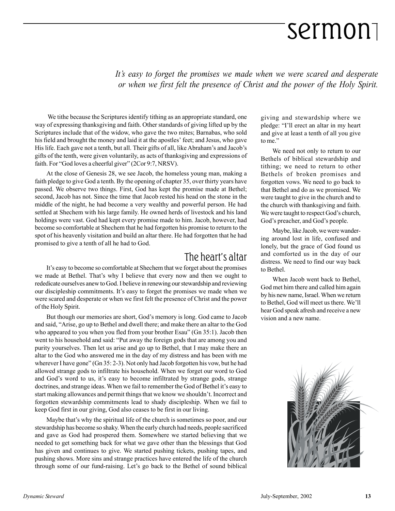*It's easy to forget the promises we made when we were scared and desperate or when we first felt the presence of Christ and the power of the Holy Spirit.*

 We tithe because the Scriptures identify tithing as an appropriate standard, one way of expressing thanksgiving and faith. Other standards of giving lifted up by the Scriptures include that of the widow, who gave the two mites; Barnabas, who sold his field and brought the money and laid it at the apostles' feet; and Jesus, who gave His life. Each gave not a tenth, but all. Their gifts of all, like Abraham's and Jacob's gifts of the tenth, were given voluntarily, as acts of thanksgiving and expressions of faith. For "God loves a cheerful giver" (2Cor 9:7, NRSV).

At the close of Genesis 28, we see Jacob, the homeless young man, making a faith pledge to give God a tenth. By the opening of chapter 35, over thirty years have passed. We observe two things. First, God has kept the promise made at Bethel; second, Jacob has not. Since the time that Jacob rested his head on the stone in the middle of the night, he had become a very wealthy and powerful person. He had settled at Shechem with his large family. He owned herds of livestock and his land holdings were vast. God had kept every promise made to him. Jacob, however, had become so comfortable at Shechem that he had forgotten his promise to return to the spot of his heavenly visitation and build an altar there. He had forgotten that he had promised to give a tenth of all he had to God.

#### The heart's altar

It's easy to become so comfortable at Shechem that we forget about the promises we made at Bethel. That's why I believe that every now and then we ought to rededicate ourselves anew to God. I believe in renewing our stewardship and reviewing our discipleship commitments. It's easy to forget the promises we made when we were scared and desperate or when we first felt the presence of Christ and the power of the Holy Spirit.

But though our memories are short, God's memory is long. God came to Jacob and said, "Arise, go up to Bethel and dwell there; and make there an altar to the God who appeared to you when you fled from your brother Esau" (Gn 35:1). Jacob then went to his household and said: "Put away the foreign gods that are among you and purity yourselves. Then let us arise and go up to Bethel, that I may make there an altar to the God who answered me in the day of my distress and has been with me wherever I have gone" (Gn 35: 2-3). Not only had Jacob forgotten his vow, but he had allowed strange gods to infiltrate his household. When we forget our word to God and God's word to us, it's easy to become infiltrated by strange gods, strange doctrines, and strange ideas. When we fail to remember the God of Bethel it's easy to start making allowances and permit things that we know we shouldn't. Incorrect and forgotten stewardship commitments lead to shady discipleship. When we fail to keep God first in our giving, God also ceases to be first in our living.

Maybe that's why the spiritual life of the church is sometimes so poor, and our stewardship has become so shaky. When the early church had needs, people sacrificed and gave as God had prospered them. Somewhere we started believing that we needed to get something back for what we gave other than the blessings that God has given and continues to give. We started pushing tickets, pushing tapes, and pushing shows. More sins and strange practices have entered the life of the church through some of our fund-raising. Let's go back to the Bethel of sound biblical giving and stewardship where we pledge: "I'll erect an altar in my heart and give at least a tenth of all you give to me."

We need not only to return to our Bethels of biblical stewardship and tithing; we need to return to other Bethels of broken promises and forgotten vows. We need to go back to that Bethel and do as we promised. We were taught to give in the church and to the church with thanksgiving and faith. We were taught to respect God's church, God's preacher, and God's people.

Maybe, like Jacob, we were wandering around lost in life, confused and lonely, but the grace of God found us and comforted us in the day of our distress. We need to find our way back to Bethel.

When Jacob went back to Bethel, God met him there and called him again by his new name, Israel. When we return to Bethel, God will meet us there. We'll hear God speak afresh and receive a new vision and a new name.

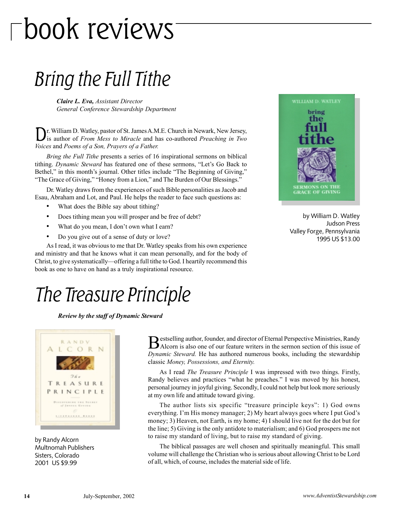# book reviews

### Bring the Full Tithe

*Claire L. Eva, Assistant Director General Conference Stewardship Department*

Dr. William D. Watley, pastor of St. James A.M.E. Church in Newark, New Jersey, is author of *From Mess to Miracle* and has co-authored *Preaching in Two Voices* and *Poems of a Son, Prayers of a Father.*

*Bring the Full Tithe* presents a series of 16 inspirational sermons on biblical tithing. *Dynamic Steward* has featured one of these sermons, "Let's Go Back to Bethel," in this month's journal. Other titles include "The Beginning of Giving," "The Grace of Giving," "Honey from a Lion," and The Burden of Our Blessings."

Dr. Watley draws from the experiences of such Bible personalities as Jacob and Esau, Abraham and Lot, and Paul. He helps the reader to face such questions as:

- What does the Bible say about tithing?
- Does tithing mean you will prosper and be free of debt?
- What do you mean, I don't own what I earn?
- Do you give out of a sense of duty or love?

As I read, it was obvious to me that Dr. Watley speaks from his own experience and ministry and that he knows what it can mean personally, and for the body of Christ, to give systematically—offering a full tithe to God. I heartily recommend this book as one to have on hand as a truly inspirational resource.



by William D. Watley Judson Press Valley Forge, Pennsylvania 1995 US \$13.00

### The Treasure Principle

*Review by the staff of Dynamic Steward*



by Randy Alcorn Multnomah Publishers Sisters, Colorado 2001 US \$9.99

Bestselling author, founder, and director of Eternal Perspective Ministries, Randy Alcorn is also one of our feature writers in the sermon section of this issue of *Dynamic Steward.* He has authored numerous books, including the stewardship classic *Money, Possessions, and Eternity.*

As I read *The Treasure Principle* I was impressed with two things. Firstly, Randy believes and practices "what he preaches." I was moved by his honest, personal journey in joyful giving. Secondly, I could not help but look more seriously at my own life and attitude toward giving.

The author lists six specific "treasure principle keys": 1) God owns everything. I'm His money manager; 2) My heart always goes where I put God's money; 3) Heaven, not Earth, is my home; 4) I should live not for the dot but for the line; 5) Giving is the only antidote to materialism; and 6) God prospers me not to raise my standard of living, but to raise my standard of giving.

The biblical passages are well chosen and spiritually meaningful. This small volume will challenge the Christian who is serious about allowing Christ to be Lord of all, which, of course, includes the material side of life.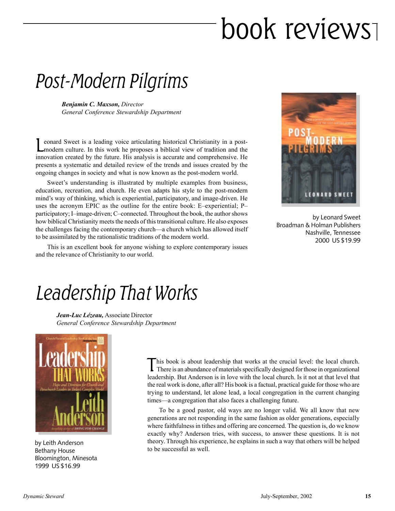# book reviews

### Post-Modern Pilgrims

*Benjamin C. Maxson, Director General Conference Stewardship Department*

Leonard Sweet is a leading voice articulating historical Christianity in a post-<br>modern culture. In this work he proposes a biblical view of tradition and the innovation created by the future. His analysis is accurate and comprehensive. He presents a systematic and detailed review of the trends and issues created by the ongoing changes in society and what is now known as the post-modern world.

Sweet's understanding is illustrated by multiple examples from business, education, recreation, and church. He even adapts his style to the post-modern mind's way of thinking, which is experiential, participatory, and image-driven. He uses the acronym EPIC as the outline for the entire book: E–experiential; P– participatory; I–image-driven; C–connected. Throughout the book, the author shows how biblical Christianity meets the needs of this transitional culture. He also exposes the challenges facing the contemporary church—a church which has allowed itself to be assimilated by the rationalistic traditions of the modern world.

This is an excellent book for anyone wishing to explore contemporary issues and the relevance of Christianity to our world.



by Leonard Sweet Broadman & Holman Publishers Nashville, Tennessee 2000 US \$19.99

### Leadership That Works

*Jean-Luc Lézeau,* Associate Director *General Conference Stewardship Department*



by Leith Anderson Bethany House Bloomington, Minesota 1999 US \$16.99

This book is about leadership that works at the crucial level: the local church. There is an abundance of materials specifically designed for those in organizational leadership. But Anderson is in love with the local church. Is it not at that level that the real work is done, after all? His book is a factual, practical guide for those who are trying to understand, let alone lead, a local congregation in the current changing times—a congregation that also faces a challenging future.

To be a good pastor, old ways are no longer valid. We all know that new generations are not responding in the same fashion as older generations, especially where faithfulness in tithes and offering are concerned. The question is, do we know exactly why? Anderson tries, with success, to answer these questions. It is not theory. Through his experience, he explains in such a way that others will be helped to be successful as well.